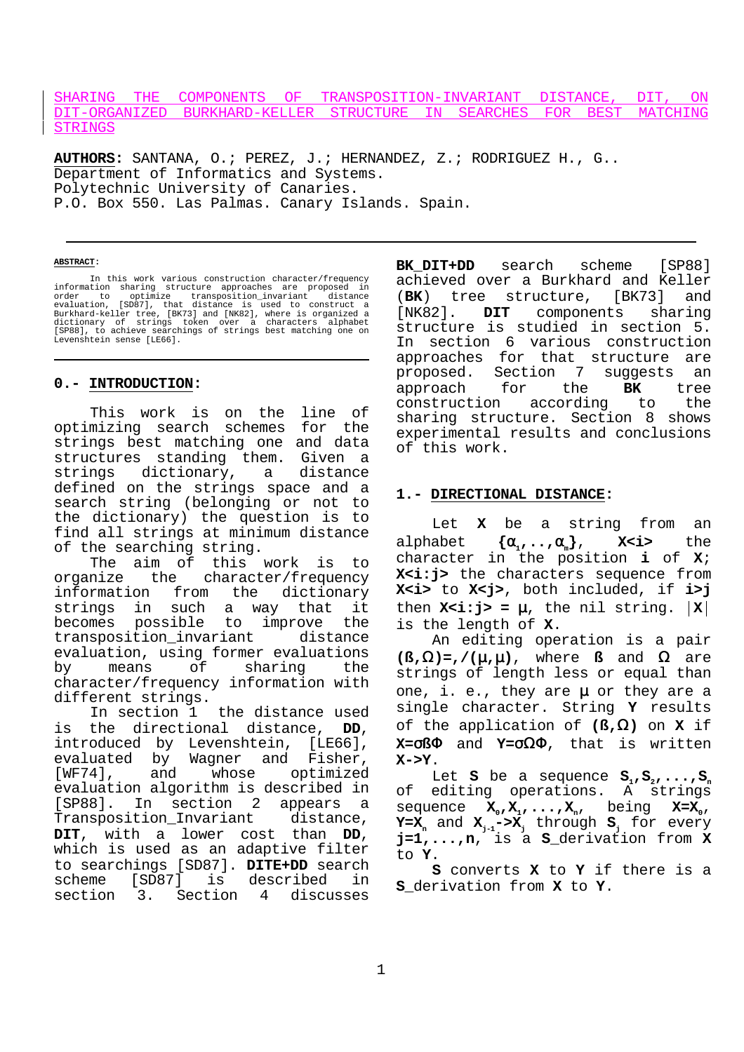### SHARING THE COMPONENTS OF TRANSPOSITION-INVARIANT DISTANCE, DIT, ON DIT-ORGANIZED BURKHARD-KELLER STRUCTURE IN SEARCHES FOR BEST MATCHING STRINGS

**AUTHORS:** SANTANA, O.; PEREZ, J.; HERNANDEZ, Z.; RODRIGUEZ H., G.. Department of Informatics and Systems. Polytechnic University of Canaries. P.O. Box 550. Las Palmas. Canary Islands. Spain.

#### **ABSTRACT:**

In this work various construction character/frequency<br>information sharing structure approaches are proposed in<br>order to optimize transposition\_invariant distance<br>evaluation, [SD87], that distance is used to construct a<br>Bur Levenshtein sense [LE66].

#### **0.- INTRODUCTION:**

This work is on the line of optimizing search schemes for the strings best matching one and data structures standing them. Given a strings dictionary, a distance defined on the strings space and a search string (belonging or not to the dictionary) the question is to find all strings at minimum distance of the searching string.

The aim of this work is to organize the character/frequency information from the dictionary strings in such a way that it becomes possible to improve the transposition invariant distance evaluation, using former evaluations by means of sharing the character/frequency information with different strings.

In section 1 the distance used is the directional distance, **DD**, introduced by Levenshtein, [LE66], evaluated by Wagner and Fisher, [WF74], and whose optimized evaluation algorithm is described in [SP88]. In section 2 appears a Transposition\_Invariant distance, **DIT**, with a lower cost than **DD**, which is used as an adaptive filter to searchings [SD87]. **DITE+DD** search scheme [SD87] is described in section 3. Section 4 discusses **BK\_DIT+DD** search scheme [SP88] achieved over a Burkhard and Keller<br>(BK) tree structure, [BK73] and (**BK**) tree structure, [BK73] and [NK82]. **DIT** components sharing structure is studied in section 5. In section 6 various construction approaches for that structure are proposed. Section 7 suggests an approach for the **BK** tree construction according to the sharing structure. Section 8 shows experimental results and conclusions of this work.

#### **1.- DIRECTIONAL DISTANCE:**

Let **X** be a string from an alphabet **{**α**1,..,**α**m}**, **X<i>** the character in the position **i** of **X**; **X<i:j>** the characters sequence from **X<i>** to **X<j>**, both included, if **i>j** then  $X < i:j$  =  $\mu$ , the nil string.  $|X|$ is the length of **X**. An editing operation is a pair

 $(\mathcal{B}, \Omega) = f/(\mu, \mu)$ , where **ß** and  $\Omega$  are strings of length less or equal than one, i. e., they are  $\mu$  or they are a single character. String **Y** results of the application of **(ß,**Ω**)** on **X** if **X=**σ**ß**Φ and **Y=**σΩΦ, that is written **X->Y**.

Let **S** be a sequence  $S_1, S_2, \ldots, S_n$ of editing operations. A strings sequence  $X_{0}$ ,  $X_{1}$ , ...,  $X_{1}$ , being  $X=X_{0}$ ,  $Y=X_n$  and  $X_{n-1}-\geq X_n$  through  $S_n$  for every **j=1,...,n**, is a **S\_**derivation from **X** to **Y**.

**S** converts **X** to **Y** if there is a **S\_**derivation from **X** to **Y**.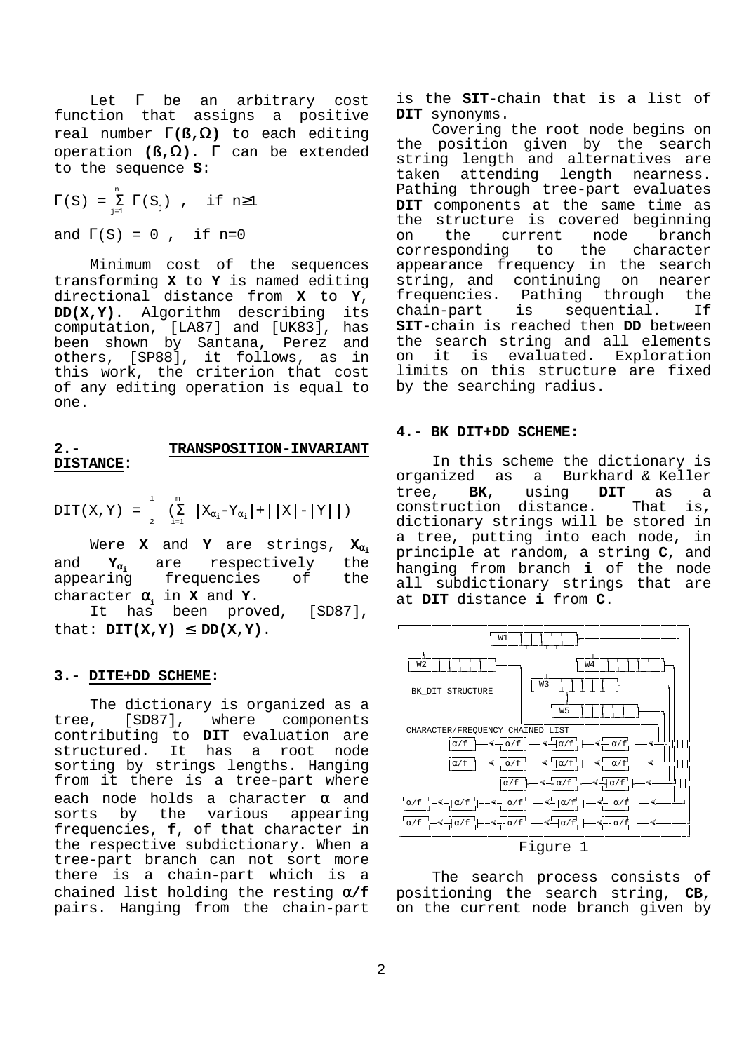Let  $\Gamma$  be an arbitrary cost function that assigns a positive real number Γ**(ß,**Ω**)** to each editing operation **(ß,**Ω**)**. Γ can be extended to the sequence **S**:

$$
\Gamma(S) = \sum_{j=1}^{n} \Gamma(S_j)
$$
, if n \ge 1  
and 
$$
\Gamma(S) = 0
$$
, if n = 0

Minimum cost of the sequences transforming **X** to **Y** is named editing directional distance from **X** to **Y**, **DD(X,Y)**. Algorithm describing its computation, [LA87] and [UK83], has been shown by Santana, Perez and others, [SP88], it follows, as in this work, the criterion that cost of any editing operation is equal to one.

#### **2.- TRANSPOSITION-INVARIANT DISTANCE:**

$$
DIT(X, Y) = \frac{1}{2} \left( \sum_{i=1}^{m} |X_{\alpha_i} - Y_{\alpha_i}| + |X| - |Y| \right)
$$

Were **X** and **Y** are strings, **X**<sup>α</sup>**<sup>i</sup>** and **Y**<sub>α<sub>i</sub> are respectively the appearing frequencies of the</sub> frequencies character α**i** in **X** and **Y**.

It has been proved, [SD87], that:  $DT(X,Y) \leq DD(X,Y)$ .

### **3.- DITE+DD SCHEME:**

The dictionary is organized as a<br> $\mu$ , [SD87], where components tree, [SD87], where components contributing to **DIT** evaluation are structured. It has a root node sorting by strings lengths. Hanging from it there is a tree-part where each node holds a character  $\alpha$  and sorts by the various appearing frequencies, **f**, of that character in the respective subdictionary. When a tree-part branch can not sort more there is a chain-part which is a chained list holding the resting α**/f** pairs. Hanging from the chain-part

is the **SIT**-chain that is a list of **DIT** synonyms.

Covering the root node begins on the position given by the search string length and alternatives are taken attending length nearness. Pathing through tree-part evaluates **DIT** components at the same time as the structure is covered beginning on the current node branch corresponding to the character appearance frequency in the search string, and continuing on nearer frequencies. Pathing through the chain-part is sequential. If **SIT**-chain is reached then **DD** between the search string and all elements on it is evaluated. Exploration limits on this structure are fixed by the searching radius.

#### **4.- BK DIT+DD SCHEME:**

In this scheme the dictionary is organized as a Burkhard & Keller tree, **BK**, using **DIT** as a construction distance. That is, dictionary strings will be stored in a tree, putting into each node, in principle at random, a string **C**, and hanging from branch **i** of the node all subdictionary strings that are at **DIT** distance **i** from **C**.



The search process consists of positioning the search string, **CB**, on the current node branch given by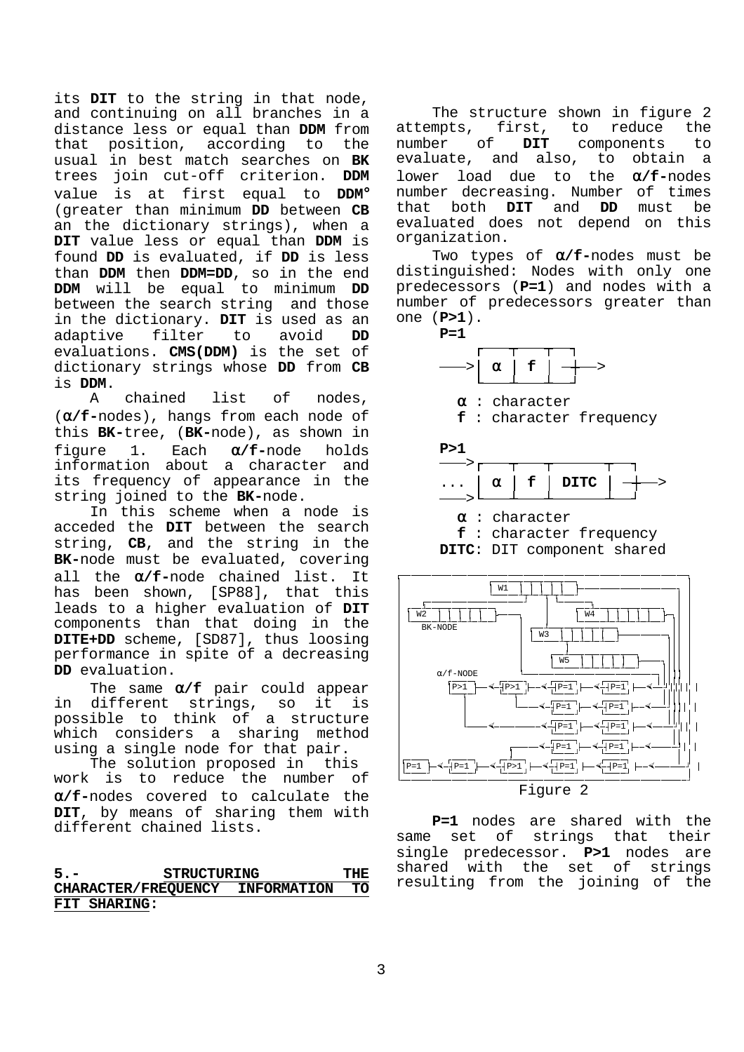its **DIT** to the string in that node, and continuing on all branches in a distance less or equal than **DDM** from that position, according to the usual in best match searches on **BK** trees join cut-off criterion. **DDM** value is at first equal to **DDM**° (greater than minimum **DD** between **CB** an the dictionary strings), when a **DIT** value less or equal than **DDM** is found **DD** is evaluated, if **DD** is less than **DDM** then **DDM=DD**, so in the end **DDM** will be equal to minimum **DD** between the search string and those in the dictionary. **DIT** is used as an adaptive filter to avoid **DD** evaluations. **CMS(DDM)** is the set of dictionary strings whose **DD** from **CB** is **DDM**.

A chained list of nodes, (α**/f-**nodes), hangs from each node of this **BK-**tree, (**BK-**node), as shown in figure 1. Each α**/f-**node holds information about a character and its frequency of appearance in the string joined to the **BK-**node.

In this scheme when a node is acceded the **DIT** between the search string, **CB**, and the string in the **BK-**node must be evaluated, covering all the α**/f-**node chained list. It has been shown, [SP88], that this leads to a higher evaluation of **DIT** components than that doing in the **DITE+DD** scheme, [SD87], thus loosing performance in spite of a decreasing **DD** evaluation.

The same α**/f** pair could appear in different strings, so it is possible to think of a structure which considers a sharing method using a single node for that pair.

The solution proposed in this work is to reduce the number of α**/f-**nodes covered to calculate the **DIT**, by means of sharing them with different chained lists.

## **5.- STRUCTURING THE CHARACTER/FREQUENCY INFORMATION TO FIT SHARING:**

The structure shown in figure 2<br>mots. first, to reduce the attempts, first, to reduce number of **DIT** components to evaluate, and also, to obtain a lower load due to the α**/f-**nodes number decreasing. Number of times that both **DIT** and **DD** must be evaluated does not depend on this organization.

Two types of α**/f-**nodes must be distinguished: Nodes with only one predecessors (**P=1**) and nodes with a number of predecessors greater than one (**P>1**).





**P=1** nodes are shared with the same set of strings that their single predecessor. **P>1** nodes are shared with the set of strings

resulting from the joining of the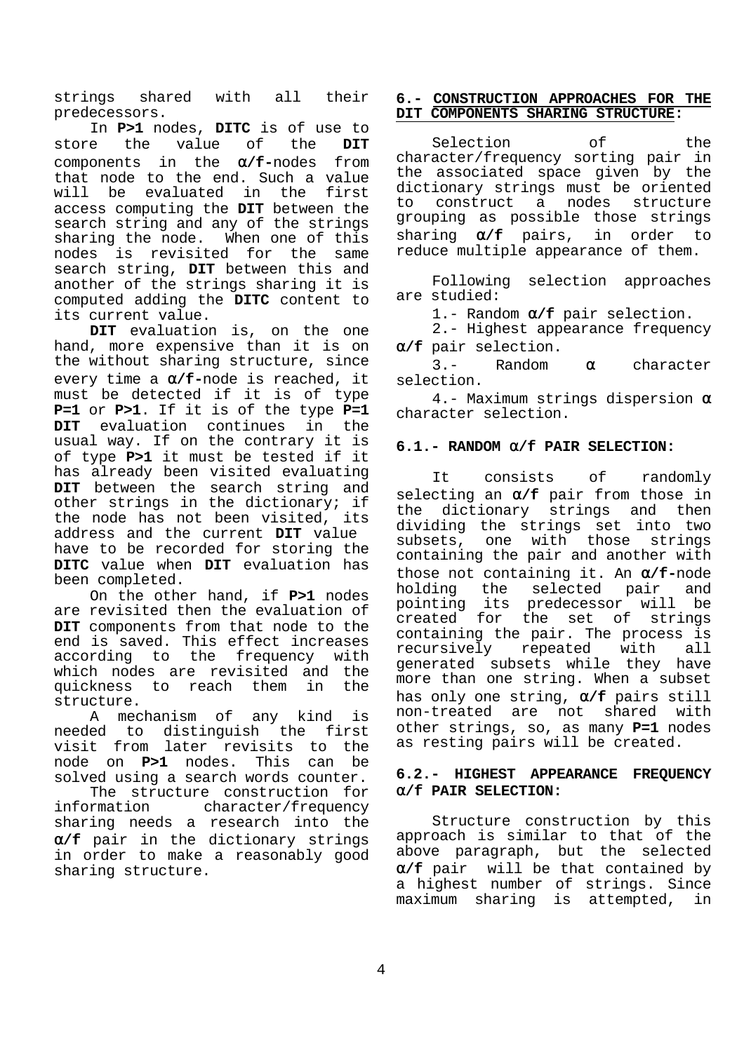strings shared with all their predecessors.

In **P>1** nodes, **DITC** is of use to store the value of the **DIT** components in the α**/f-**nodes from that node to the end. Such a value will be evaluated in the first access computing the **DIT** between the search string and any of the strings sharing the node. When one of this nodes is revisited for the same search string, **DIT** between this and another of the strings sharing it is computed adding the **DITC** content to its current value.

**DIT** evaluation is, on the one hand, more expensive than it is on the without sharing structure, since every time a α**/f-**node is reached, it must be detected if it is of type **P=1** or **P>1**. If it is of the type **P=1 DIT** evaluation continues in the usual way. If on the contrary it is of type **P>1** it must be tested if it has already been visited evaluating **DIT** between the search string and other strings in the dictionary; if the node has not been visited, its address and the current **DIT** value have to be recorded for storing the **DITC** value when **DIT** evaluation has been completed.

On the other hand, if **P>1** nodes are revisited then the evaluation of **DIT** components from that node to the end is saved. This effect increases according to the frequency with which nodes are revisited and the quickness to reach them in the structure.

A mechanism of any kind is needed to distinguish the first visit from later revisits to the node on **P>1** nodes. This can be solved using a search words counter.

The structure construction for information character/frequency sharing needs a research into the α**/f** pair in the dictionary strings in order to make a reasonably good sharing structure.

### **6.- CONSTRUCTION APPROACHES FOR THE DIT COMPONENTS SHARING STRUCTURE:**

Selection of the character/frequency sorting pair in the associated space given by the dictionary strings must be oriented to construct a nodes structure grouping as possible those strings sharing α**/f** pairs, in order to reduce multiple appearance of them.

Following selection approaches are studied:

1.- Random α**/f** pair selection.

2.- Highest appearance frequency α**/f** pair selection.

3.- Random α character selection.

4.- Maximum strings dispersion  $\alpha$ character selection.

# **6.1.- RANDOM** α**/f PAIR SELECTION:**

It consists of randomly selecting an α**/f** pair from those in the dictionary strings and then dividing the strings set into two subsets, one with those strings containing the pair and another with those not containing it. An α**/f-**node holding the selected pair and pointing its predecessor will be created for the set of strings containing the pair. The process is recursively repeated with all generated subsets while they have more than one string. When a subset has only one string, α**/f** pairs still non-treated are not shared with other strings, so, as many **P=1** nodes as resting pairs will be created.

# **6.2.- HIGHEST APPEARANCE FREQUENCY** α**/f PAIR SELECTION:**

Structure construction by this approach is similar to that of the above paragraph, but the selected α**/f** pair will be that contained by a highest number of strings. Since maximum sharing is attempted, in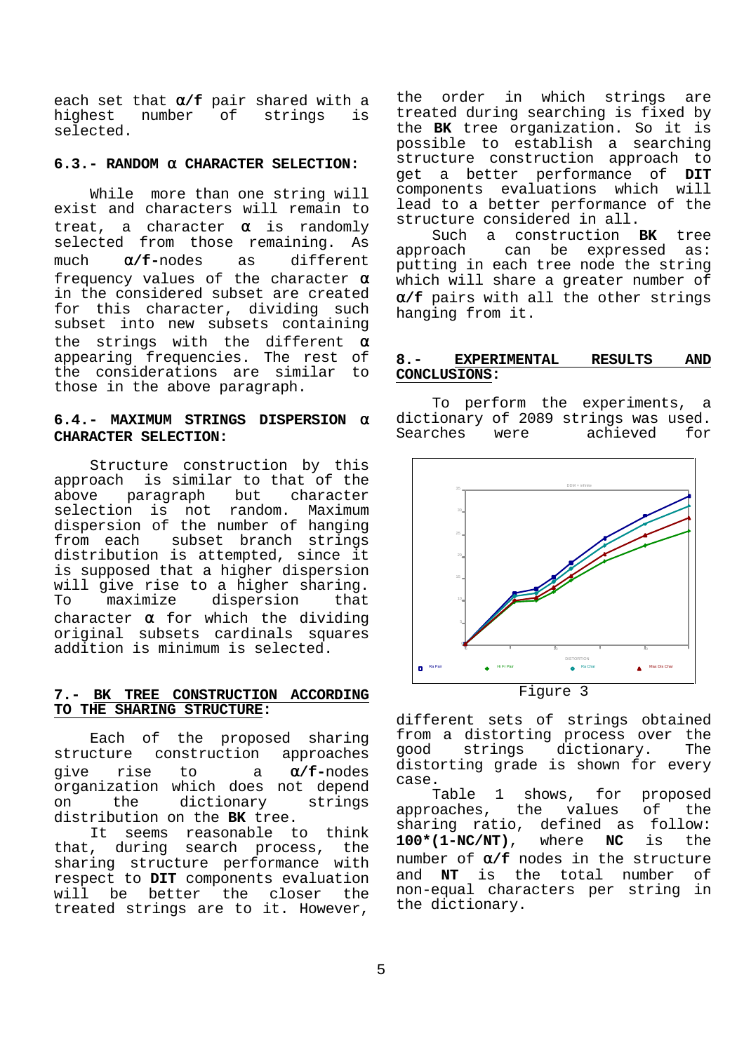each set that **α/f** pair shared with a<br>highest number of strings is of strings is selected.

### **6.3.- RANDOM** α **CHARACTER SELECTION:**

While more than one string will exist and characters will remain to treat, a character  $\alpha$  is randomly selected from those remaining. As much α**/f-**nodes as different frequency values of the character  $\alpha$ in the considered subset are created for this character, dividing such subset into new subsets containing the strings with the different  $\alpha$ appearing frequencies. The rest of the considerations are similar to those in the above paragraph.

## **6.4.- MAXIMUM STRINGS DISPERSION** α **CHARACTER SELECTION:**

Structure construction by this approach is similar to that of the above paragraph but character selection is not random. Maximum dispersion of the number of hanging from each subset branch strings distribution is attempted, since it is supposed that a higher dispersion will give rise to a higher sharing. To maximize dispersion that character  $\alpha$  for which the dividing original subsets cardinals squares addition is minimum is selected.

## **7.- BK TREE CONSTRUCTION ACCORDING TO THE SHARING STRUCTURE:**

Each of the proposed sharing structure construction approaches give rise to a α**/f-**nodes organization which does not depend on the dictionary strings distribution on the **BK** tree.

It seems reasonable to think that, during search process, the sharing structure performance with respect to **DIT** components evaluation will be better the closer the treated strings are to it. However,

the order in which strings are treated during searching is fixed by the **BK** tree organization. So it is possible to establish a searching structure construction approach to get a better performance of **DIT** components evaluations which will lead to a better performance of the structure considered in all.

Such a construction **BK** tree approach can be expressed as: putting in each tree node the string which will share a greater number of α**/f** pairs with all the other strings hanging from it.

#### **8.- EXPERIMENTAL RESULTS AND CONCLUSIONS:**

To perform the experiments, a dictionary of 2089 strings was used. Searches were achieved for



Figure 3

different sets of strings obtained from a distorting process over the<br>good strings dictionary. The strings dictionary. The distorting grade is shown for every case.

Table 1 shows, for proposed approaches, the values of the sharing ratio, defined as follow: **100\*(1-NC/NT)**, where **NC** is the number of α**/f** nodes in the structure and **NT** is the total number of non-equal characters per string in the dictionary.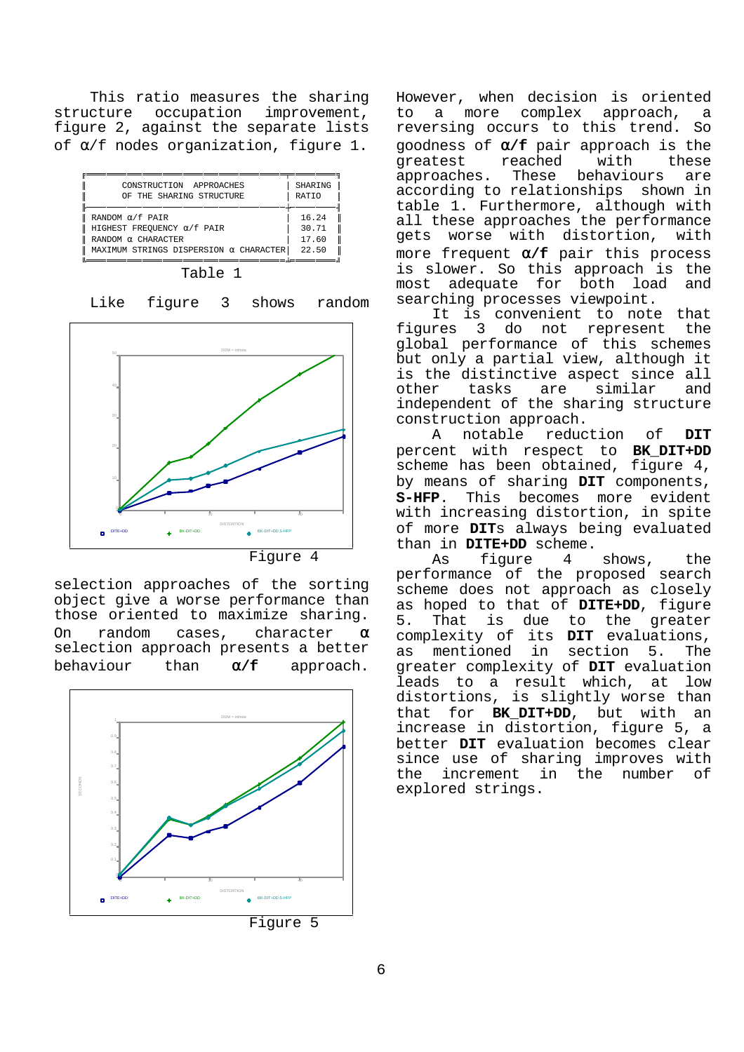This ratio measures the sharing structure occupation improvement, figure 2, against the separate lists of α/f nodes organization, figure 1.

|             | CONSTRUCTION APPROACHES<br>OF THE SHARING STRUCTURE                                       | SHARING<br><b>RATTO</b> |
|-------------|-------------------------------------------------------------------------------------------|-------------------------|
| $\parallel$ | RANDOM $\alpha$ /f PAIR<br>HIGHEST FREOUENCY $\alpha/f$ pair<br>RANDOM $\alpha$ CHARACTER | 16.24<br>30.71<br>17.60 |
|             | MAXIMUM STRINGS DISPERSION $\alpha$ CHARACTER                                             | 22.50                   |

| anı |  |
|-----|--|
|     |  |

Like figure 3 shows random



selection approaches of the sorting object give a worse performance than those oriented to maximize sharing. On random cases, character  $\alpha$ selection approach presents a better behaviour than α**/f** approach.



However, when decision is oriented to a more complex approach, a reversing occurs to this trend. So goodness of α**/f** pair approach is the greatest reached with these approaches. These behaviours are according to relationships shown in table 1. Furthermore, although with all these approaches the performance gets worse with distortion, with more frequent α**/f** pair this process is slower. So this approach is the most adequate for both load and searching processes viewpoint.

It is convenient to note that figures 3 do not represent the global performance of this schemes but only a partial view, although it is the distinctive aspect since all<br>other tasks are similar and other tasks are similar and independent of the sharing structure construction approach.

A notable reduction of **DIT** percent with respect to **BK\_DIT+DD** scheme has been obtained, figure 4, by means of sharing **DIT** components, **S-HFP**. This becomes more evident with increasing distortion, in spite of more **DIT**s always being evaluated than in **DITE+DD** scheme.

As figure 4 shows, the performance of the proposed search scheme does not approach as closely as hoped to that of **DITE+DD**, figure 5. That is due to the greater complexity of its **DIT** evaluations, as mentioned in section 5. The greater complexity of **DIT** evaluation leads to a result which, at low distortions, is slightly worse than that for **BK\_DIT+DD**, but with an increase in distortion, figure 5, a better **DIT** evaluation becomes clear since use of sharing improves with the increment in the number of explored strings.